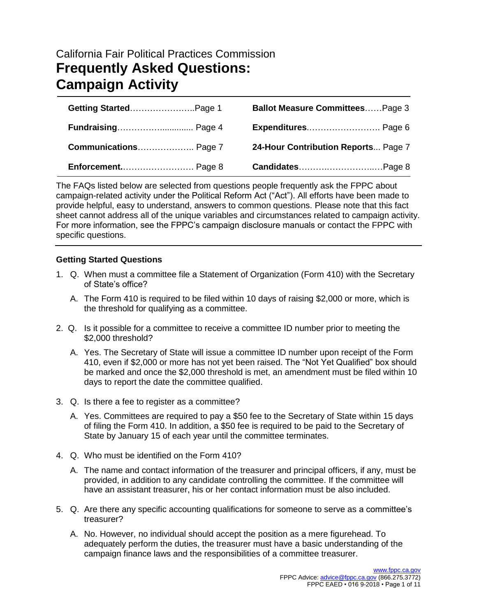# California Fair Political Practices Commission **Frequently Asked Questions: Campaign Activity**

| Getting StartedPage 1 | <b>Ballot Measure CommitteesPage 3</b> |
|-----------------------|----------------------------------------|
|                       | Expenditures Page 6                    |
|                       | 24-Hour Contribution Reports Page 7    |
|                       |                                        |

The FAQs listed below are selected from questions people frequently ask the FPPC about campaign-related activity under the Political Reform Act ("Act"). All efforts have been made to provide helpful, easy to understand, answers to common questions. Please note that this fact sheet cannot address all of the unique variables and circumstances related to campaign activity. For more information, see the FPPC's campaign disclosure manuals or contact the FPPC with specific questions.

# **Getting Started Questions**

- 1. Q. When must a committee file a Statement of Organization (Form 410) with the Secretary of State's office?
	- A. The Form 410 is required to be filed within 10 days of raising \$2,000 or more, which is the threshold for qualifying as a committee.
- 2. Q. Is it possible for a committee to receive a committee ID number prior to meeting the \$2,000 threshold?
	- A. Yes. The Secretary of State will issue a committee ID number upon receipt of the Form 410, even if \$2,000 or more has not yet been raised. The "Not Yet Qualified" box should be marked and once the \$2,000 threshold is met, an amendment must be filed within 10 days to report the date the committee qualified.
- 3. Q. Is there a fee to register as a committee?
	- A. Yes. Committees are required to pay a \$50 fee to the Secretary of State within 15 days of filing the Form 410. In addition, a \$50 fee is required to be paid to the Secretary of State by January 15 of each year until the committee terminates.
- 4. Q. Who must be identified on the Form 410?
	- A. The name and contact information of the treasurer and principal officers, if any, must be provided, in addition to any candidate controlling the committee. If the committee will have an assistant treasurer, his or her contact information must be also included.
- 5. Q. Are there any specific accounting qualifications for someone to serve as a committee's treasurer?
	- A. No. However, no individual should accept the position as a mere figurehead. To adequately perform the duties, the treasurer must have a basic understanding of the campaign finance laws and the responsibilities of a committee treasurer.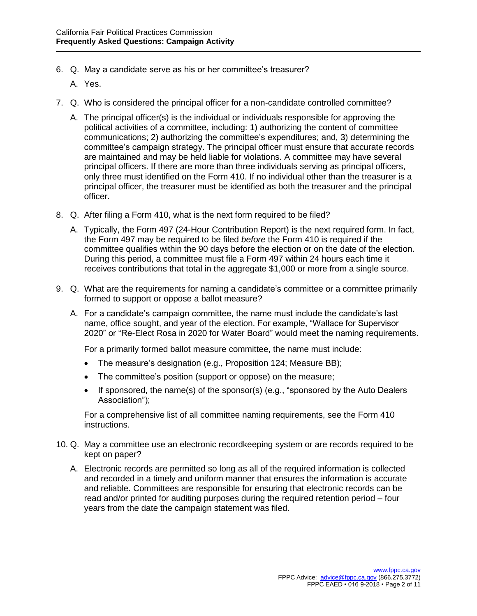- 6. Q. May a candidate serve as his or her committee's treasurer?
	- A. Yes.
- 7. Q. Who is considered the principal officer for a non-candidate controlled committee?
	- A. The principal officer(s) is the individual or individuals responsible for approving the political activities of a committee, including: 1) authorizing the content of committee communications; 2) authorizing the committee's expenditures; and, 3) determining the committee's campaign strategy. The principal officer must ensure that accurate records are maintained and may be held liable for violations. A committee may have several principal officers. If there are more than three individuals serving as principal officers, only three must identified on the Form 410. If no individual other than the treasurer is a principal officer, the treasurer must be identified as both the treasurer and the principal officer.
- 8. Q. After filing a Form 410, what is the next form required to be filed?
	- A. Typically, the Form 497 (24-Hour Contribution Report) is the next required form. In fact, the Form 497 may be required to be filed *before* the Form 410 is required if the committee qualifies within the 90 days before the election or on the date of the election. During this period, a committee must file a Form 497 within 24 hours each time it receives contributions that total in the aggregate \$1,000 or more from a single source.
- 9. Q. What are the requirements for naming a candidate's committee or a committee primarily formed to support or oppose a ballot measure?
	- A. For a candidate's campaign committee, the name must include the candidate's last name, office sought, and year of the election. For example, "Wallace for Supervisor 2020" or "Re-Elect Rosa in 2020 for Water Board" would meet the naming requirements.

For a primarily formed ballot measure committee, the name must include:

- The measure's designation (e.g., Proposition 124; Measure BB);
- The committee's position (support or oppose) on the measure;
- If sponsored, the name(s) of the sponsor(s) (e.g., "sponsored by the Auto Dealers Association");

For a comprehensive list of all committee naming requirements, see the Form 410 instructions.

- 10. Q. May a committee use an electronic recordkeeping system or are records required to be kept on paper?
	- A. Electronic records are permitted so long as all of the required information is collected and recorded in a timely and uniform manner that ensures the information is accurate and reliable. Committees are responsible for ensuring that electronic records can be read and/or printed for auditing purposes during the required retention period – four years from the date the campaign statement was filed.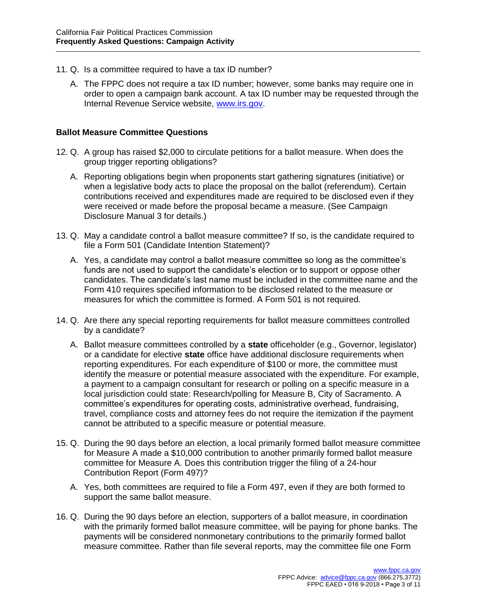- 11. Q. Is a committee required to have a tax ID number?
	- A. The FPPC does not require a tax ID number; however, some banks may require one in order to open a campaign bank account. A tax ID number may be requested through the Internal Revenue Service website, [www.irs.gov.](http://www.irs.gov/)

### **Ballot Measure Committee Questions**

- 12. Q. A group has raised \$2,000 to circulate petitions for a ballot measure. When does the group trigger reporting obligations?
	- A. Reporting obligations begin when proponents start gathering signatures (initiative) or when a legislative body acts to place the proposal on the ballot (referendum). Certain contributions received and expenditures made are required to be disclosed even if they were received or made before the proposal became a measure. (See Campaign Disclosure Manual 3 for details.)
- 13. Q. May a candidate control a ballot measure committee? If so, is the candidate required to file a Form 501 (Candidate Intention Statement)?
	- A. Yes, a candidate may control a ballot measure committee so long as the committee's funds are not used to support the candidate's election or to support or oppose other candidates. The candidate's last name must be included in the committee name and the Form 410 requires specified information to be disclosed related to the measure or measures for which the committee is formed. A Form 501 is not required.
- 14. Q. Are there any special reporting requirements for ballot measure committees controlled by a candidate?
	- A. Ballot measure committees controlled by a **state** officeholder (e.g., Governor, legislator) or a candidate for elective **state** office have additional disclosure requirements when reporting expenditures. For each expenditure of \$100 or more, the committee must identify the measure or potential measure associated with the expenditure. For example, a payment to a campaign consultant for research or polling on a specific measure in a local jurisdiction could state: Research/polling for Measure B, City of Sacramento. A committee's expenditures for operating costs, administrative overhead, fundraising, travel, compliance costs and attorney fees do not require the itemization if the payment cannot be attributed to a specific measure or potential measure.
- 15. Q. During the 90 days before an election, a local primarily formed ballot measure committee for Measure A made a \$10,000 contribution to another primarily formed ballot measure committee for Measure A. Does this contribution trigger the filing of a 24-hour Contribution Report (Form 497)?
	- A. Yes, both committees are required to file a Form 497, even if they are both formed to support the same ballot measure.
- 16. Q. During the 90 days before an election, supporters of a ballot measure, in coordination with the primarily formed ballot measure committee, will be paying for phone banks. The payments will be considered nonmonetary contributions to the primarily formed ballot measure committee. Rather than file several reports, may the committee file one Form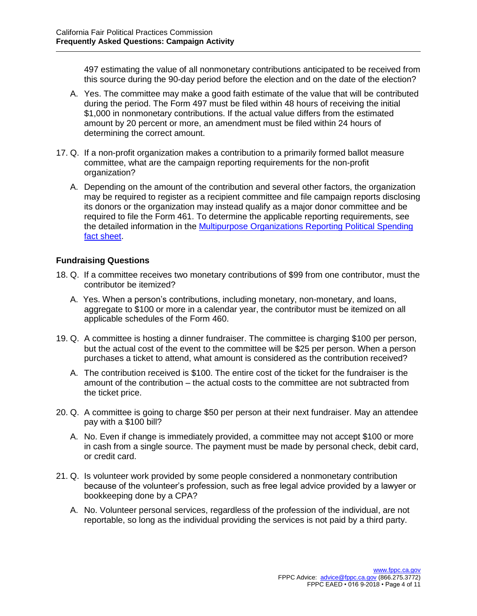497 estimating the value of all nonmonetary contributions anticipated to be received from this source during the 90-day period before the election and on the date of the election?

- A. Yes. The committee may make a good faith estimate of the value that will be contributed during the period. The Form 497 must be filed within 48 hours of receiving the initial \$1,000 in nonmonetary contributions. If the actual value differs from the estimated amount by 20 percent or more, an amendment must be filed within 24 hours of determining the correct amount.
- 17. Q. If a non-profit organization makes a contribution to a primarily formed ballot measure committee, what are the campaign reporting requirements for the non-profit organization?
	- A. Depending on the amount of the contribution and several other factors, the organization may be required to register as a recipient committee and file campaign reports disclosing its donors or the organization may instead qualify as a major donor committee and be required to file the Form 461. To determine the applicable reporting requirements, see the detailed information in the [Multipurpose Organizations Reporting Political Spending](http://www.fppc.ca.gov/content/dam/fppc/NS-Documents/TAD/Campaign%20Documents/057-3-2018%20Multipurpose%20Organizations.pdf)  [fact sheet.](http://www.fppc.ca.gov/content/dam/fppc/NS-Documents/TAD/Campaign%20Documents/057-3-2018%20Multipurpose%20Organizations.pdf)

# **Fundraising Questions**

- 18. Q. If a committee receives two monetary contributions of \$99 from one contributor, must the contributor be itemized?
	- A. Yes. When a person's contributions, including monetary, non-monetary, and loans, aggregate to \$100 or more in a calendar year, the contributor must be itemized on all applicable schedules of the Form 460.
- 19. Q. A committee is hosting a dinner fundraiser. The committee is charging \$100 per person, but the actual cost of the event to the committee will be \$25 per person. When a person purchases a ticket to attend, what amount is considered as the contribution received?
	- A. The contribution received is \$100. The entire cost of the ticket for the fundraiser is the amount of the contribution – the actual costs to the committee are not subtracted from the ticket price.
- 20. Q. A committee is going to charge \$50 per person at their next fundraiser. May an attendee pay with a \$100 bill?
	- A. No. Even if change is immediately provided, a committee may not accept \$100 or more in cash from a single source. The payment must be made by personal check, debit card, or credit card.
- 21. Q. Is volunteer work provided by some people considered a nonmonetary contribution because of the volunteer's profession, such as free legal advice provided by a lawyer or bookkeeping done by a CPA?
	- A. No. Volunteer personal services, regardless of the profession of the individual, are not reportable, so long as the individual providing the services is not paid by a third party.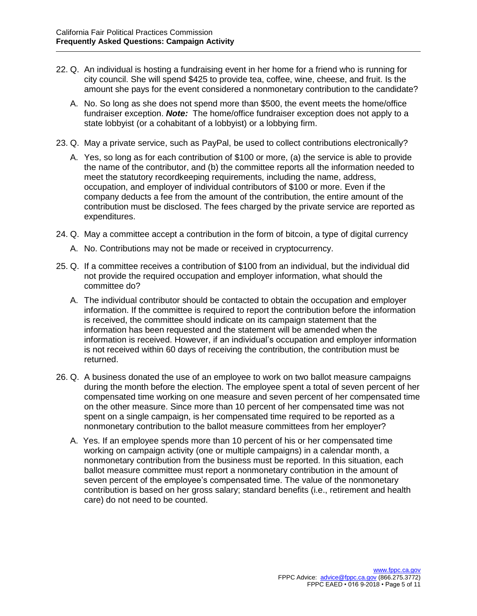- 22. Q. An individual is hosting a fundraising event in her home for a friend who is running for city council. She will spend \$425 to provide tea, coffee, wine, cheese, and fruit. Is the amount she pays for the event considered a nonmonetary contribution to the candidate?
	- A. No. So long as she does not spend more than \$500, the event meets the home/office fundraiser exception. *Note:* The home/office fundraiser exception does not apply to a state lobbyist (or a cohabitant of a lobbyist) or a lobbying firm.
- 23. Q. May a private service, such as PayPal, be used to collect contributions electronically?
	- A. Yes, so long as for each contribution of \$100 or more, (a) the service is able to provide the name of the contributor, and (b) the committee reports all the information needed to meet the statutory recordkeeping requirements, including the name, address, occupation, and employer of individual contributors of \$100 or more. Even if the company deducts a fee from the amount of the contribution, the entire amount of the contribution must be disclosed. The fees charged by the private service are reported as expenditures.
- 24. Q. May a committee accept a contribution in the form of bitcoin, a type of digital currency
	- A. No. Contributions may not be made or received in cryptocurrency.
- 25. Q. If a committee receives a contribution of \$100 from an individual, but the individual did not provide the required occupation and employer information, what should the committee do?
	- A. The individual contributor should be contacted to obtain the occupation and employer information. If the committee is required to report the contribution before the information is received, the committee should indicate on its campaign statement that the information has been requested and the statement will be amended when the information is received. However, if an individual's occupation and employer information is not received within 60 days of receiving the contribution, the contribution must be returned.
- 26. Q. A business donated the use of an employee to work on two ballot measure campaigns during the month before the election. The employee spent a total of seven percent of her compensated time working on one measure and seven percent of her compensated time on the other measure. Since more than 10 percent of her compensated time was not spent on a single campaign, is her compensated time required to be reported as a nonmonetary contribution to the ballot measure committees from her employer?
	- A. Yes. If an employee spends more than 10 percent of his or her compensated time working on campaign activity (one or multiple campaigns) in a calendar month, a nonmonetary contribution from the business must be reported. In this situation, each ballot measure committee must report a nonmonetary contribution in the amount of seven percent of the employee's compensated time. The value of the nonmonetary contribution is based on her gross salary; standard benefits (i.e., retirement and health care) do not need to be counted.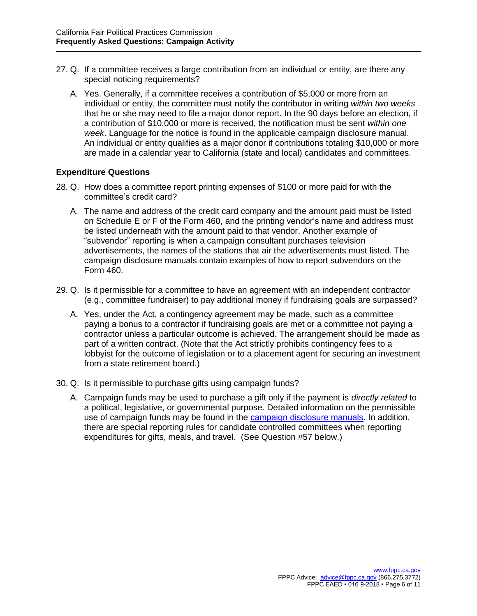- 27. Q. If a committee receives a large contribution from an individual or entity, are there any special noticing requirements?
	- A. Yes. Generally, if a committee receives a contribution of \$5,000 or more from an individual or entity, the committee must notify the contributor in writing *within two weeks* that he or she may need to file a major donor report. In the 90 days before an election, if a contribution of \$10,000 or more is received, the notification must be sent *within one week*. Language for the notice is found in the applicable campaign disclosure manual. An individual or entity qualifies as a major donor if contributions totaling \$10,000 or more are made in a calendar year to California (state and local) candidates and committees.

### **Expenditure Questions**

- 28. Q. How does a committee report printing expenses of \$100 or more paid for with the committee's credit card?
	- A. The name and address of the credit card company and the amount paid must be listed on Schedule E or F of the Form 460, and the printing vendor's name and address must be listed underneath with the amount paid to that vendor. Another example of "subvendor" reporting is when a campaign consultant purchases television advertisements, the names of the stations that air the advertisements must listed. The campaign disclosure manuals contain examples of how to report subvendors on the Form 460.
- 29. Q. Is it permissible for a committee to have an agreement with an independent contractor (e.g., committee fundraiser) to pay additional money if fundraising goals are surpassed?
	- A. Yes, under the Act, a contingency agreement may be made, such as a committee paying a bonus to a contractor if fundraising goals are met or a committee not paying a contractor unless a particular outcome is achieved. The arrangement should be made as part of a written contract. (Note that the Act strictly prohibits contingency fees to a lobbyist for the outcome of legislation or to a placement agent for securing an investment from a state retirement board.)
- 30. Q. Is it permissible to purchase gifts using campaign funds?
	- A. Campaign funds may be used to purchase a gift only if the payment is *directly related* to a political, legislative, or governmental purpose. Detailed information on the permissible use of campaign funds may be found in the [campaign disclosure manuals.](http://www.fppc.ca.gov/learn/campaign-rules/campaign-disclosure-manuals.html) In addition, there are special reporting rules for candidate controlled committees when reporting expenditures for gifts, meals, and travel. (See Question #57 below.)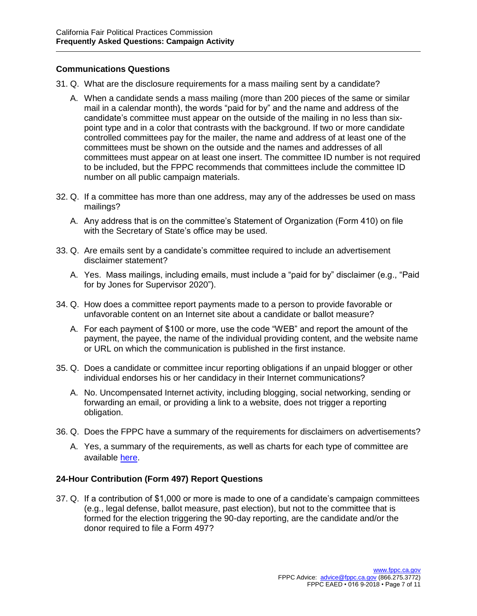# **Communications Questions**

- 31. Q. What are the disclosure requirements for a mass mailing sent by a candidate?
	- A. When a candidate sends a mass mailing (more than 200 pieces of the same or similar mail in a calendar month), the words "paid for by" and the name and address of the candidate's committee must appear on the outside of the mailing in no less than sixpoint type and in a color that contrasts with the background. If two or more candidate controlled committees pay for the mailer, the name and address of at least one of the committees must be shown on the outside and the names and addresses of all committees must appear on at least one insert. The committee ID number is not required to be included, but the FPPC recommends that committees include the committee ID number on all public campaign materials.
- 32. Q. If a committee has more than one address, may any of the addresses be used on mass mailings?
	- A. Any address that is on the committee's Statement of Organization (Form 410) on file with the Secretary of State's office may be used.
- 33. Q. Are emails sent by a candidate's committee required to include an advertisement disclaimer statement?
	- A. Yes. Mass mailings, including emails, must include a "paid for by" disclaimer (e.g., "Paid for by Jones for Supervisor 2020").
- 34. Q. How does a committee report payments made to a person to provide favorable or unfavorable content on an Internet site about a candidate or ballot measure?
	- A. For each payment of \$100 or more, use the code "WEB" and report the amount of the payment, the payee, the name of the individual providing content, and the website name or URL on which the communication is published in the first instance.
- 35. Q. Does a candidate or committee incur reporting obligations if an unpaid blogger or other individual endorses his or her candidacy in their Internet communications?
	- A. No. Uncompensated Internet activity, including blogging, social networking, sending or forwarding an email, or providing a link to a website, does not trigger a reporting obligation.
- 36. Q. Does the FPPC have a summary of the requirements for disclaimers on advertisements?
	- A. Yes, a summary of the requirements, as well as charts for each type of committee are available [here.](http://www.fppc.ca.gov/learn/campaign-rules/campaign-advertising-requirements-restrictions.html)

# **24-Hour Contribution (Form 497) Report Questions**

37. Q. If a contribution of \$1,000 or more is made to one of a candidate's campaign committees (e.g., legal defense, ballot measure, past election), but not to the committee that is formed for the election triggering the 90-day reporting, are the candidate and/or the donor required to file a Form 497?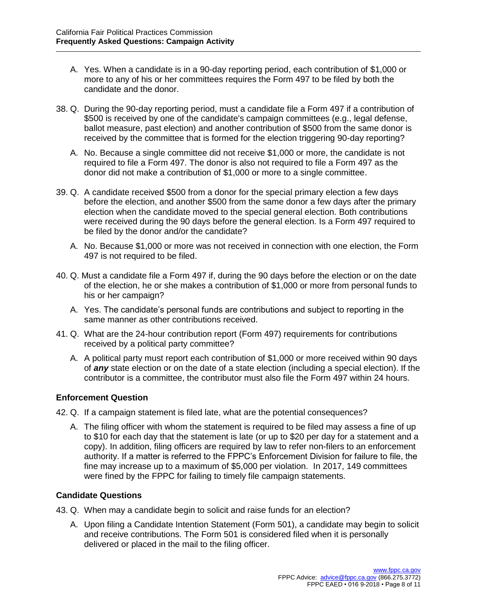- A. Yes. When a candidate is in a 90-day reporting period, each contribution of \$1,000 or more to any of his or her committees requires the Form 497 to be filed by both the candidate and the donor.
- 38. Q. During the 90-day reporting period, must a candidate file a Form 497 if a contribution of \$500 is received by one of the candidate's campaign committees (e.g., legal defense, ballot measure, past election) and another contribution of \$500 from the same donor is received by the committee that is formed for the election triggering 90-day reporting?
	- A. No. Because a single committee did not receive \$1,000 or more, the candidate is not required to file a Form 497. The donor is also not required to file a Form 497 as the donor did not make a contribution of \$1,000 or more to a single committee.
- 39. Q. A candidate received \$500 from a donor for the special primary election a few days before the election, and another \$500 from the same donor a few days after the primary election when the candidate moved to the special general election. Both contributions were received during the 90 days before the general election. Is a Form 497 required to be filed by the donor and/or the candidate?
	- A. No. Because \$1,000 or more was not received in connection with one election, the Form 497 is not required to be filed.
- 40. Q. Must a candidate file a Form 497 if, during the 90 days before the election or on the date of the election, he or she makes a contribution of \$1,000 or more from personal funds to his or her campaign?
	- A. Yes. The candidate's personal funds are contributions and subject to reporting in the same manner as other contributions received.
- 41. Q. What are the 24-hour contribution report (Form 497) requirements for contributions received by a political party committee?
	- A. A political party must report each contribution of \$1,000 or more received within 90 days of *any* state election or on the date of a state election (including a special election). If the contributor is a committee, the contributor must also file the Form 497 within 24 hours.

# **Enforcement Question**

42. Q. If a campaign statement is filed late, what are the potential consequences?

A. The filing officer with whom the statement is required to be filed may assess a fine of up to \$10 for each day that the statement is late (or up to \$20 per day for a statement and a copy). In addition, filing officers are required by law to refer non-filers to an enforcement authority. If a matter is referred to the FPPC's Enforcement Division for failure to file, the fine may increase up to a maximum of \$5,000 per violation. In 2017, 149 committees were fined by the FPPC for failing to timely file campaign statements.

# **Candidate Questions**

- 43. Q. When may a candidate begin to solicit and raise funds for an election?
	- A. Upon filing a Candidate Intention Statement (Form 501), a candidate may begin to solicit and receive contributions. The Form 501 is considered filed when it is personally delivered or placed in the mail to the filing officer.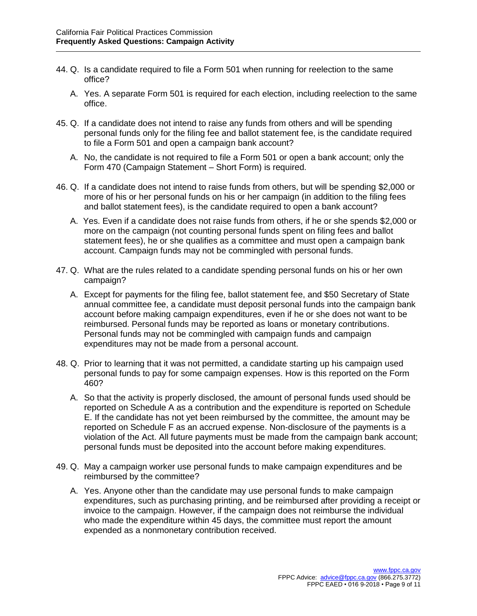- 44. Q. Is a candidate required to file a Form 501 when running for reelection to the same office?
	- A. Yes. A separate Form 501 is required for each election, including reelection to the same office.
- 45. Q. If a candidate does not intend to raise any funds from others and will be spending personal funds only for the filing fee and ballot statement fee, is the candidate required to file a Form 501 and open a campaign bank account?
	- A. No, the candidate is not required to file a Form 501 or open a bank account; only the Form 470 (Campaign Statement – Short Form) is required.
- 46. Q. If a candidate does not intend to raise funds from others, but will be spending \$2,000 or more of his or her personal funds on his or her campaign (in addition to the filing fees and ballot statement fees), is the candidate required to open a bank account?
	- A. Yes. Even if a candidate does not raise funds from others, if he or she spends \$2,000 or more on the campaign (not counting personal funds spent on filing fees and ballot statement fees), he or she qualifies as a committee and must open a campaign bank account. Campaign funds may not be commingled with personal funds.
- 47. Q. What are the rules related to a candidate spending personal funds on his or her own campaign?
	- A. Except for payments for the filing fee, ballot statement fee, and \$50 Secretary of State annual committee fee, a candidate must deposit personal funds into the campaign bank account before making campaign expenditures, even if he or she does not want to be reimbursed. Personal funds may be reported as loans or monetary contributions. Personal funds may not be commingled with campaign funds and campaign expenditures may not be made from a personal account.
- 48. Q. Prior to learning that it was not permitted, a candidate starting up his campaign used personal funds to pay for some campaign expenses. How is this reported on the Form 460?
	- A. So that the activity is properly disclosed, the amount of personal funds used should be reported on Schedule A as a contribution and the expenditure is reported on Schedule E. If the candidate has not yet been reimbursed by the committee, the amount may be reported on Schedule F as an accrued expense. Non-disclosure of the payments is a violation of the Act. All future payments must be made from the campaign bank account; personal funds must be deposited into the account before making expenditures.
- 49. Q. May a campaign worker use personal funds to make campaign expenditures and be reimbursed by the committee?
	- A. Yes. Anyone other than the candidate may use personal funds to make campaign expenditures, such as purchasing printing, and be reimbursed after providing a receipt or invoice to the campaign. However, if the campaign does not reimburse the individual who made the expenditure within 45 days, the committee must report the amount expended as a nonmonetary contribution received.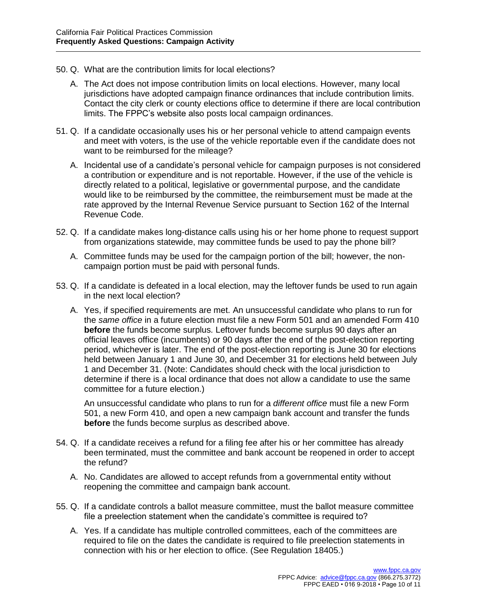- 50. Q. What are the contribution limits for local elections?
	- A. The Act does not impose contribution limits on local elections. However, many local jurisdictions have adopted campaign finance ordinances that include contribution limits. Contact the city clerk or county elections office to determine if there are local contribution limits. The FPPC's website also posts local campaign ordinances.
- 51. Q. If a candidate occasionally uses his or her personal vehicle to attend campaign events and meet with voters, is the use of the vehicle reportable even if the candidate does not want to be reimbursed for the mileage?
	- A. Incidental use of a candidate's personal vehicle for campaign purposes is not considered a contribution or expenditure and is not reportable. However, if the use of the vehicle is directly related to a political, legislative or governmental purpose, and the candidate would like to be reimbursed by the committee, the reimbursement must be made at the rate approved by the Internal Revenue Service pursuant to Section 162 of the Internal Revenue Code.
- 52. Q. If a candidate makes long-distance calls using his or her home phone to request support from organizations statewide, may committee funds be used to pay the phone bill?
	- A. Committee funds may be used for the campaign portion of the bill; however, the noncampaign portion must be paid with personal funds.
- 53. Q. If a candidate is defeated in a local election, may the leftover funds be used to run again in the next local election?
	- A. Yes, if specified requirements are met. An unsuccessful candidate who plans to run for the *same office* in a future election must file a new Form 501 and an amended Form 410 **before** the funds become surplus. Leftover funds become surplus 90 days after an official leaves office (incumbents) or 90 days after the end of the post-election reporting period, whichever is later. The end of the post-election reporting is June 30 for elections held between January 1 and June 30, and December 31 for elections held between July 1 and December 31. (Note: Candidates should check with the local jurisdiction to determine if there is a local ordinance that does not allow a candidate to use the same committee for a future election.)

An unsuccessful candidate who plans to run for a *different office* must file a new Form 501, a new Form 410, and open a new campaign bank account and transfer the funds **before** the funds become surplus as described above.

- 54. Q. If a candidate receives a refund for a filing fee after his or her committee has already been terminated, must the committee and bank account be reopened in order to accept the refund?
	- A. No. Candidates are allowed to accept refunds from a governmental entity without reopening the committee and campaign bank account.
- 55. Q. If a candidate controls a ballot measure committee, must the ballot measure committee file a preelection statement when the candidate's committee is required to?
	- A. Yes. If a candidate has multiple controlled committees, each of the committees are required to file on the dates the candidate is required to file preelection statements in connection with his or her election to office. (See Regulation 18405.)